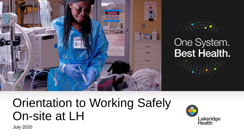



# Orientation to Working Safely On-site at LH



July 2020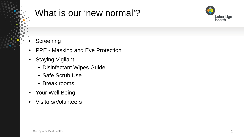## What is our 'new normal'?



### **Screening**

- PPE Masking and Eye Protection
- Staying Vigilant
	- Disinfectant Wipes Guide
	- Safe Scrub Use
	- Break rooms
- Your Well Being
- Visitors/Volunteers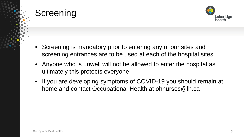## **Screening**



- Screening is mandatory prior to entering any of our sites and screening entrances are to be used at each of the hospital sites.
- Anyone who is unwell will not be allowed to enter the hospital as ultimately this protects everyone.
- If you are developing symptoms of COVID-19 you should remain at home and contact Occupational Health at ohnurses@lh.ca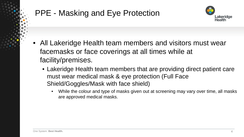## PPE - Masking and Eye Protection



- All Lakeridge Health team members and visitors must wear facemasks or face coverings at all times while at facility/premises.
	- Lakeridge Health team members that are providing direct patient care must wear medical mask & eye protection (Full Face Shield/Goggles/Mask with face shield)
		- While the colour and type of masks given out at screening may vary over time, all masks are approved medical masks.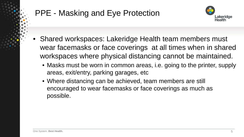## PPE - Masking and Eye Protection



- Shared workspaces: Lakeridge Health team members must wear facemasks or face coverings at all times when in shared workspaces where physical distancing cannot be maintained.
	- Masks must be worn in common areas, i.e. going to the printer, supply areas, exit/entry, parking garages, etc
	- Where distancing can be achieved, team members are still encouraged to wear facemasks or face coverings as much as possible.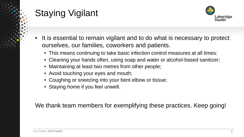

- It is essential to remain vigilant and to do what is necessary to protect ourselves, our families, coworkers and patients.
	- This means continuing to take basic infection control measures at all times:
	- Cleaning your hands often, using soap and water or alcohol-based sanitizer;
	- Maintaining at least two metres from other people;
	- Avoid touching your eyes and mouth;
	- Coughing or sneezing into your bent elbow or tissue;
	- Staying home if you feel unwell.

We thank team members for exemplifying these practices. Keep going!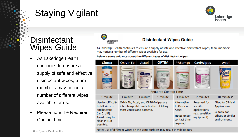

7

### **Disinfectant** Wipes Guide

- As Lakeridge Health continues to ensure a supply of safe and effective disinfectant wipes, team members may notice a number of different wipes available for use.
- Please note the Required Contact time.



#### **Disinfectant Wipes Guide**

As Lakeridge Health continues to ensure a supply of safe and effective disinfectant wipes, team members may notice a number of different wipes available for use.

#### Below is some guidance about the different types of disinfectant wipes:

| <b>Clorox</b>                                                                                                                                                                                                                                                                                                                                            | <b>Oxivir Tb</b>                                                                                                | Accel    | <b>OPTIM</b>                                             | <b>PREempt</b>                                                                    | <b>CaviWipes</b>                                                                 | Lysol                                                                                    |
|----------------------------------------------------------------------------------------------------------------------------------------------------------------------------------------------------------------------------------------------------------------------------------------------------------------------------------------------------------|-----------------------------------------------------------------------------------------------------------------|----------|----------------------------------------------------------|-----------------------------------------------------------------------------------|----------------------------------------------------------------------------------|------------------------------------------------------------------------------------------|
| <b>GIFTE</b><br><b>BLALT HEARD</b><br>of Greenwich I With<br><b>TWEE</b> DO THE OFF<br><b><i>Company is considered by the company of the company of the company of the company of the company of the company of the company of the company of the company of the company of the company of the company of the company of </i></b><br><b>SCHULLER TOP</b> | were There                                                                                                      | υ        | Teriace Cieanor I<br><b><i>Infiglie Legal Dachte</i></b> | <b>PREemp</b><br><b>VUISIN</b>                                                    | <b>NEW Wipes</b>                                                                 |                                                                                          |
| <b>Required Contact Time</b>                                                                                                                                                                                                                                                                                                                             |                                                                                                                 |          |                                                          |                                                                                   |                                                                                  |                                                                                          |
| 1-minute                                                                                                                                                                                                                                                                                                                                                 | 1-minute                                                                                                        | 1-minute | 1-minute                                                 | 3-minutes                                                                         | 2-minutes                                                                        | 10-minutes*                                                                              |
| Use for difficult-<br>to-kill viruses<br>and bacteria<br>(i.e. C. diff).<br>Avoid using to<br>clean PPE, if<br>possible.                                                                                                                                                                                                                                 | Oxivir Tb, Accel, and OPTIM wipes are<br>interchangeable and effective at killing<br>most viruses and bacteria. |          |                                                          | Alternative<br>to Oxivir or<br>Accel.<br>Note: longer<br>contact time<br>required | <b>Reserved for</b><br>specific<br>applications<br>(e.g. sensitive<br>equipment) | *Not for Clinical<br>Applications.<br>Suitable for<br>offices or similar<br>environments |

Note: Use of different wipes on the same surfaces may result in mild odours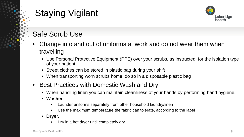

## Safe Scrub Use

- Change into and out of uniforms at work and do not wear them when travelling
	- Use Personal Protective Equipment (PPE) over your scrubs, as instructed, for the isolation type of your patient
	- Street clothes can be stored in plastic bag during your shift
	- When transporting worn scrubs home, do so in a disposable plastic bag
- Best Practices with Domestic Wash and Dry
	- When handling linen you can maintain cleanliness of your hands by performing hand hygiene.
	- **Washer**:
		- Launder uniforms separately from other household laundry/linen
		- Use the maximum temperature the fabric can tolerate, according to the label
	- **Dryer.** 
		- Dry in a hot dryer until completely dry.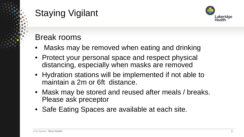

## Break rooms

- Masks may be removed when eating and drinking
- Protect your personal space and respect physical distancing, especially when masks are removed
- Hydration stations will be implemented if not able to maintain a 2m or 6ft distance.
- Mask may be stored and reused after meals / breaks. Please ask preceptor
- Safe Eating Spaces are available at each site.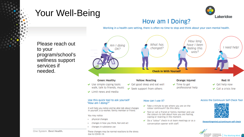## Your Well-Being



### How am I Doing?

Working in a health care setting, there is often no time to stop and think about your own mental health.

How long What has have I been Am I doing I need help! changed? feeling this  $OK?$ way? **Check In With Yourself Green: Healthy Yellow: Reacting Red: III Orange: Injured** Get good sleep and eat well  $\vee$  Use simple coping tools:  $\vee$  Time to get  $\vee$  Get help now walk, talk to friends, music professional help  $\checkmark$  Seek support from others  $\vee$  Call a crisis line  $\vee$  Limit news and media

Please reach out to your program/school's wellness support services if needed.

#### Use this quick tool to ask yourself "How am I doing?"

It will help you notice and be able talk about changes in yourself, a co-worker, family member or friend.

You may notice:

- physical changes
- changes in how you think, feel and act
- changes in substance use

#### How can I use it?

- $\blacktriangleright$  Take a minute to see where you are on the colour continuum? Do this daily.
- ← Text or call a friend or family member and use the colours to talk about how you are feeling, coping or reacting in the moment.
- Do a "colour" check-in at team meetings or as a conversation opener with staff.

#### Access the Continuum Self-Check Tool



theworkingmind.ca/continuum-self-check



One System. **Best Health.**

These changes may be normal reactions to the stress due to COVID-19.